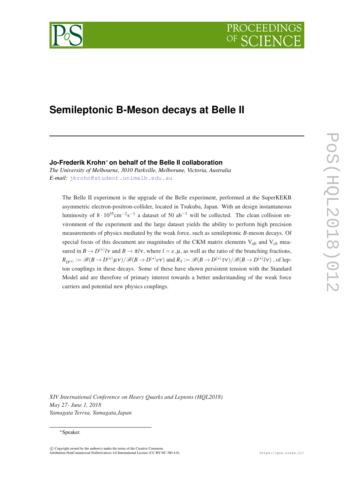

# **Semileptonic B-Meson decays at Belle II**

## **Jo-Frederik Krohn**<sup>∗</sup> **on behalf of the Belle II collaboration**

*The University of Melbourne, 3010 Parkville, Melborune, Victoria, Australia E-mail:* [jkrohn@student.unimelb.edu.au](mailto:jkrohn@student.unimelb.edu.au)

The Belle II experiment is the upgrade of the Belle experiment, performed at the SuperKEKB asymmetric electron-positron-collider, located in Tsukuba, Japan. With an design instantaneous luminosity of  $8 \cdot 10^{35}$ cm<sup>-2</sup>s<sup>-1</sup> a dataset of 50 ab<sup>-1</sup> will be collected. The clean collision environment of the experiment and the large dataset yields the ability to perform high precision measurements of physics mediated by the weak force, such as semileptonic *B*-meson decays. Of special focus of this document are magnitudes of the CKM matrix elements  $V_{ub}$  and  $V_{cb}$  measured in  $B \to D^{(*)}/V$  and  $B \to \pi lV$ , where  $l = e, \mu$ , as well as the ratio of the branching fractions,  $R_{D^{(\star)}}:=\mathscr{B}(B\to D^{(\star)}\mu\nu)/\mathscr{B}(B\to D^{(\star)}e\nu)$  and  $R_{\tau}:=\mathscr{B}(B\to D^{(\star)}\tau\nu)/\mathscr{B}(B\to D^{(\star)}l\nu)$  , of lepton couplings in these decays. Some of these have shown persistent tension with the Standard Model and are therefore of primary interest towards a better understanding of the weak force carriers and potential new physics couplings.

*XIV International Conference on Heavy Quarks and Leptons (HQL2018) May 27- June 1, 2018 Yamagata Terrsa, Yamagata,Japan*

#### <sup>∗</sup>Speaker.

 $\overline{c}$  Copyright owned by the author(s) under the terms of the Creative Common Attribution-NonCommercial-NoDerivatives 4.0 International License (CC BY-NC-ND 4.0). https://pos.sissa.it/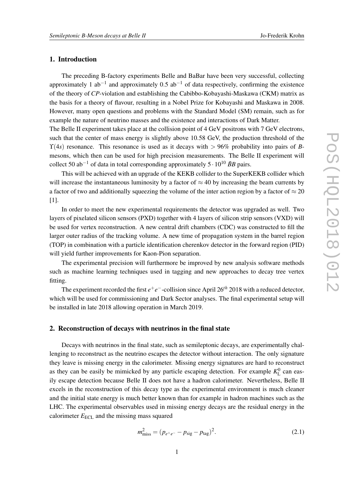## 1. Introduction

The preceding B-factory experiments Belle and BaBar have been very successful, collecting approximately 1 ab<sup>-1</sup> and approximately 0.5 ab<sup>-1</sup> of data respectively, confirming the existence of the theory of *CP*-violation and establishing the Cabibbo-Kobayashi-Maskawa (CKM) matrix as the basis for a theory of flavour, resulting in a Nobel Prize for Kobayashi and Maskawa in 2008. However, many open questions and problems with the Standard Model (SM) remain, such as for example the nature of neutrino masses and the existence and interactions of Dark Matter.

The Belle II experiment takes place at the collision point of 4 GeV positrons with 7 GeV electrons, such that the center of mass energy is slightly above 10.58 GeV, the production threshold of the  $\Upsilon(4s)$  resonance. This resonance is used as it decays with  $> 96\%$  probability into pairs of *B*mesons, which then can be used for high precision measurements. The Belle II experiment will collect 50 ab<sup>-1</sup> of data in total corresponding approximately 5 ·  $10^{10}$   $\bar{B}B$  pairs.

This will be achieved with an upgrade of the KEKB collider to the SuperKEKB collider which will increase the instantaneous luminosity by a factor of  $\approx$  40 by increasing the beam currents by a factor of two and additionally squeezing the volume of the inter action region by a factor of  $\approx$  20 [1].

In order to meet the new experimental requirements the detector was upgraded as well. Two layers of pixelated silicon sensors (PXD) together with 4 layers of silicon strip sensors (VXD) will be used for vertex reconstruction. A new central drift chambers (CDC) was constructed to fill the larger outer radius of the tracking volume. A new time of propagation system in the barrel region (TOP) in combination with a particle identification cherenkov detector in the forward region (PID) will yield further improvements for Kaon-Pion separation.

The experimental precision will furthermore be improved by new analysis software methods such as machine learning techniques used in tagging and new approaches to decay tree vertex fitting.

The experiment recorded the first  $e^+e^-$ -collision since April 26<sup>th</sup> 2018 with a reduced detector, which will be used for commissioning and Dark Sector analyses. The final experimental setup will be installed in late 2018 allowing operation in March 2019.

## 2. Reconstruction of decays with neutrinos in the final state

Decays with neutrinos in the final state, such as semileptonic decays, are experimentally challenging to reconstruct as the neutrino escapes the detector without interaction. The only signature they leave is missing energy in the calorimeter. Missing energy signatures are hard to reconstruct as they can be easily be mimicked by any particle escaping detection. For example  $K<sub>L</sub><sup>0</sup>$  can easily escape detection because Belle II does not have a hadron calorimeter. Nevertheless, Belle II excels in the reconstruction of this decay type as the experimental environment is much cleaner and the initial state energy is much better known than for example in hadron machines such as the LHC. The experimental observables used in missing energy decays are the residual energy in the calorimeter  $E_{\text{ECL}}$  and the missing mass squared

$$
m_{\text{miss}}^2 = (p_{e^+e^-} - p_{\text{sig}} - p_{\text{tag}})^2. \tag{2.1}
$$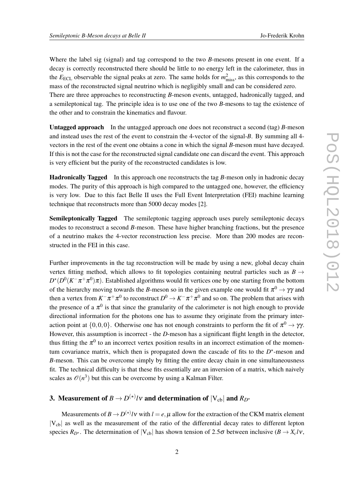Where the label sig (signal) and tag correspond to the two *B*-mesons present in one event. If a decay is correctly reconstructed there should be little to no energy left in the calorimeter, thus in the  $E_{\text{ECL}}$  observable the signal peaks at zero. The same holds for  $m_{\text{miss}}^2$ , as this corresponds to the mass of the reconstructed signal neutrino which is negligibly small and can be considered zero. There are three approaches to reconstructing *B*-meson events, untagged, hadronically tagged, and a semileptonical tag. The principle idea is to use one of the two *B*-mesons to tag the existence of

the other and to constrain the kinematics and flavour. Untagged approach In the untagged approach one does not reconstruct a second (tag) *B*-meson

and instead uses the rest of the event to constrain the 4-vector of the signal-*B*. By summing all 4 vectors in the rest of the event one obtains a cone in which the signal *B*-meson must have decayed. If this is not the case for the reconstructed signal candidate one can discard the event. This approach is very efficient but the purity of the reconstructed candidates is low.

Hadronically Tagged In this approach one reconstructs the tag *B*-meson only in hadronic decay modes. The purity of this approach is high compared to the untagged one, however, the efficiency is very low. Due to this fact Belle II uses the Full Event Interpretation (FEI) machine learning technique that reconstructs more than 5000 decay modes [2].

Semileptonically Tagged The semileptonic tagging approach uses purely semileptonic decays modes to reconstruct a second *B*-meson. These have higher branching fractions, but the presence of a neutrino makes the 4-vector reconstruction less precise. More than 200 modes are reconstructed in the FEI in this case.

Further improvements in the tag reconstruction will be made by using a new, global decay chain vertex fitting method, which allows to fit topologies containing neutral particles such as  $B \rightarrow$  $D^\star(D^0(K^-\pi^+\pi^0)\pi)$ . Established algorithms would fit vertices one by one starting from the bottom of the hierarchy moving towards the *B*-meson so in the given example one would fit  $\pi^0 \to \gamma \gamma$  and then a vertex from  $K^-\pi^+\pi^0$  to reconstruct  $D^0\to K^-\pi^+\pi^0$  and so on. The problem that arises with the presence of a  $\pi^0$  is that since the granularity of the calorimeter is not high enough to provide directional information for the photons one has to assume they originate from the primary interaction point at  $\{0,0,0\}$ . Otherwise one has not enough constraints to perform the fit of  $\pi^0 \to \gamma\gamma$ . However, this assumption is incorrect - the *D*-meson has a significant flight length in the detector, thus fitting the  $\pi^0$  to an incorrect vertex position results in an incorrect estimation of the momentum covariance matrix, which then is propagated down the cascade of fits to the  $D^*$ -meson and *B*-meson. This can be overcome simply by fitting the entire decay chain in one simultaneousness fit. The technical difficulty is that these fits essentially are an inversion of a matrix, which naively scales as  $\mathcal{O}(n^3)$  but this can be overcome by using a Kalman Filter.

## 3. Measurement of  $B \to D^{(\star)} l$ v and determination of  $|{\rm V}_{\rm cb}|$  and  $R_{D^\star}$

Measurements of  $B \to D^{(*)}l\mathbf{v}$  with  $l = e, \mu$  allow for the extraction of the CKM matrix element  $|V_{cb}|$  as well as the measurement of the ratio of the differential decay rates to different lepton species  $R_{D^*}$ . The determination of  $|V_{cb}|$  has shown tension of 2.5 $\sigma$  between inclusive ( $B \to X_c l \nu$ ,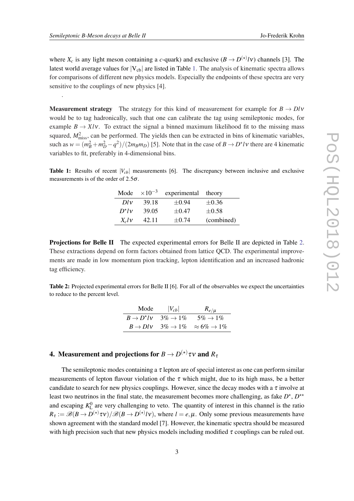.

where  $X_c$  is any light meson containing a *c*-quark) and exclusive  $(B \to D^{(*)} l \nu)$  channels [3]. The latest world average values for  $|V_{cb}|$  are listed in Table 1. The analysis of kinematic spectra allows for comparisons of different new physics models. Especially the endpoints of these spectra are very sensitive to the couplings of new physics [4].

**Measurement strategy** The strategy for this kind of measurement for example for  $B \rightarrow D\ell v$ would be to tag hadronically, such that one can calibrate the tag using semileptonic modes, for example  $B \to Xl\nu$ . To extract the signal a binned maximum likelihood fit to the missing mass squared,  $M<sub>miss</sub><sup>2</sup>$ , can be performed. The yields then can be extracted in bins of kinematic variables, such as  $w = (m_B^2 + m_D^2 - q^2)/(2m_Bm_D)$  [5]. Note that in the case of  $B \to D^*l\nu$  there are 4 kinematic variables to fit, preferably in 4-dimensional bins.

**Table 1:** Results of recent  $|V_{cb}|$  measurements [6]. The discrepancy between inclusive and exclusive measurements is of the order of  $2.5\sigma$ .

| Mode            | $\times 10^{-3}$ | experimental | theory     |
|-----------------|------------------|--------------|------------|
| Dlv             | 39.18            | $\pm 0.94$   | $\pm 0.36$ |
| $D^{\star}l\nu$ | 39.05            | $\pm 0.47$   | $\pm 0.58$ |
| $X_c$ l v       | 42.11            | $\pm 0.74$   | (combined) |

Projections for Belle II The expected experimental errors for Belle II are depicted in Table 2. These extractions depend on form factors obtained from lattice QCD. The experimental improvements are made in low momentum pion tracking, lepton identification and an increased hadronic tag efficiency.

Table 2: Projected experimental errors for Belle II [6]. For all of the observables we expect the uncertainties to reduce to the percent level.

| Mode | $ V_{cb} $                        | $R_{e/\mu}$                                                             |
|------|-----------------------------------|-------------------------------------------------------------------------|
|      | $B \to D^{\star}/V$ 3\% $\to 1\%$ | $5\% \rightarrow 1\%$                                                   |
|      |                                   | $B \rightarrow Dl\nu$ 3% $\rightarrow$ 1% $\approx$ 6% $\rightarrow$ 1% |

## 4. Measurement and projections for  $B \to D^{(\star)} \tau$ ν and  $R_\tau$

The semileptonic modes containing a  $\tau$  lepton are of special interest as one can perform similar measurements of lepton flavour violation of the  $\tau$  which might, due to its high mass, be a better candidate to search for new physics couplings. However, since the decay modes with a  $\tau$  involve at least two neutrinos in the final state, the measurement becomes more challenging, as fake  $D^*$ ,  $D^{**}$ and escaping  $K_L^0$  are very challenging to veto. The quantity of interest in this channel is the ratio  $R_{\tau} := \mathscr{B}(B \to D^{(*)} \tau v) / \mathscr{B}(B \to D^{(*)} l v)$ , where  $l = e, \mu$ . Only some previous measurements have shown agreement with the standard model [7]. However, the kinematic spectra should be measured with high precision such that new physics models including modified  $\tau$  couplings can be ruled out.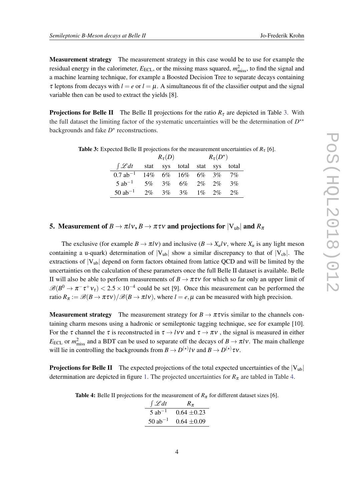Measurement strategy The measurement strategy in this case would be to use for example the residual energy in the calorimeter,  $E_{\text{ECL}}$ , or the missing mass squared,  $m_{\text{miss}}^2$ , to find the signal and a machine learning technique, for example a Boosted Decision Tree to separate decays containing  $\tau$  leptons from decays with  $l = e$  or  $l = \mu$ . A simultaneous fit of the classifier output and the signal variable then can be used to extract the yields [8].

**Projections for Belle II** The Belle II projections for the ratio  $R<sub>\tau</sub>$  are depicted in Table 3. With the full dataset the limiting factor of the systematic uncertainties will be the determination of  $D^{\star\star}$ backgrounds and fake  $D^*$  reconstructions.

|                        | $R_\tau(D)$ |  |                               | $R_{\tau}(D^{\star})$ |  |    |
|------------------------|-------------|--|-------------------------------|-----------------------|--|----|
| $\int \mathscr{L} dt$  |             |  | stat sys total stat sys total |                       |  |    |
| $0.7$ ab <sup>-1</sup> |             |  | 14% 6% 16% 6% 3% 7%           |                       |  |    |
| $5$ ab <sup>-1</sup>   | $5\%$       |  | 3\% 6\% 2\% 2\%               |                       |  | 3% |
| $50$ ab <sup>-1</sup>  | $2\%$       |  | $3\%$ $3\%$ $1\%$ $2\%$       |                       |  | 2% |

**Table 3:** Expected Belle II projections for the measurement uncertainties of  $R_7$  [6].

## 5. Measurement of  $B \to \pi l v$ ,  $B \to \pi \tau v$  and projections for  $|V_{ub}|$  and  $R_{\pi}$

The exclusive (for example  $B \to \pi l \nu$ ) and inclusive ( $B \to X_u l \nu$ , where  $X_u$  is any light meson containing a u-quark) determination of  $|V_{ub}|$  show a similar discrepancy to that of  $|V_{cb}|$ . The extractions of  $|V_{ub}|$  depend on form factors obtained from lattice QCD and will be limited by the uncertainties on the calculation of these parameters once the full Belle II dataset is available. Belle II will also be able to perform measurements of  $B \to \pi \tau \nu$  for which so far only an upper limit of  $\mathscr{B}(B^0 \to \pi^- \tau^+ \nu_{\tau}) < 2.5 \times 10^{-4}$  could be set [9]. Once this measurement can be performed the ratio  $R_{\pi} := \mathcal{B}(B \to \pi \tau v)/\mathcal{B}(B \to \pi l v)$ , where  $l = e, \mu$  can be measured with high precision.

**Measurement strategy** The measurement strategy for  $B \to \pi \tau \nu$  is similar to the channels containing charm mesons using a hadronic or semileptonic tagging technique, see for example [10]. For the  $\tau$  channel the  $\tau$  is reconstructed in  $\tau \to l\nu\nu$  and  $\tau \to \pi\nu$ , the signal is measured in either *E*<sub>ECL</sub> or  $m_{\text{miss}}^2$  and a BDT can be used to separate off the decays of  $B \to \pi l \nu$ . The main challenge will lie in controlling the backgrounds from  $B \to D^{(*)}/V$  and  $B \to D^{(*)} \tau V$ .

**Projections for Belle II** The expected projections of the total expected uncertainties of the  $|V_{ub}|$ determination are depicted in figure [1](#page-5-0). The projected uncertainties for  $R<sub>\pi</sub>$  are tabled in Table 4.

**Table 4:** Belle II projections for the measurement of  $R<sub>\pi</sub>$  for different dataset sizes [6].

| $\int \mathscr{L} dt$ | $R_{\pi}$       |
|-----------------------|-----------------|
| $5$ ab <sup>-1</sup>  | $0.64 + 0.23$   |
| $50$ ab <sup>-1</sup> | $0.64 \pm 0.09$ |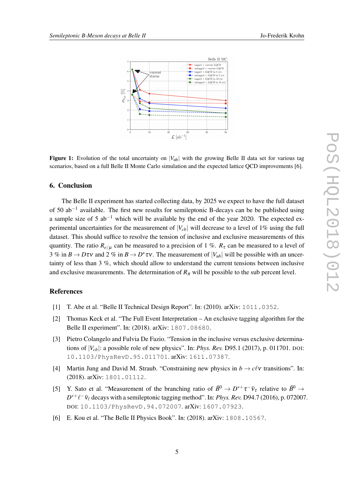<span id="page-5-0"></span>

**Figure 1:** Evolution of the total uncertainty on  $|V_{ub}|$  with the growing Belle II data set for various tag scenarios, based on a full Belle II Monte Carlo simulation and the expected lattice QCD improvements [6].

## 6. Conclusion

The Belle II experiment has started collecting data, by 2025 we expect to have the full dataset of 50 ab<sup>-1</sup> available. The first new results for semileptonic B-decays can be be published using a sample size of 5  $ab^{-1}$  which will be available by the end of the year 2020. The expected experimental uncertainties for the measurement of  $|V_{cb}|$  will decrease to a level of 1% using the full dataset. This should suffice to resolve the tension of inclusive and exclusive measurements of this quantity. The ratio  $R_{e/\mu}$  can be measured to a precision of 1 %.  $R_{\tau}$  can be measured to a level of 3 % in  $B \to D\tau v$  and 2 % in  $B \to D^* \tau v$ . The measurement of  $|V_{ub}|$  will be possible with an uncertainty of less than 3 %, which should allow to understand the current tensions between inclusive and exclusive measurements. The determination of  $R<sub>\pi</sub>$  will be possible to the sub percent level.

## References

- [1] T. Abe et al. "Belle II Technical Design Report". In: (2010). arXiv: 1011.0352.
- [2] Thomas Keck et al. "The Full Event Interpretation An exclusive tagging algorithm for the Belle II experiment". In: (2018). arXiv: 1807.08680.
- [3] Pietro Colangelo and Fulvia De Fazio. "Tension in the inclusive versus exclusive determinations of |*Vcb*|: a possible role of new physics". In: *Phys. Rev.* D95.1 (2017), p. 011701. DOI: 10.1103/PhysRevD.95.011701. arXiv: 1611.07387.
- [4] Martin Jung and David M. Straub. "Constraining new physics in  $b \to c\ell v$  transitions". In: (2018). arXiv: 1801.01112.
- [5] Y. Sato et al. "Measurement of the branching ratio of  $\bar{B}^0 \to D^{*+} \tau^- \bar{\nu}_{\tau}$  relative to  $\bar{B}^0 \to$  $D^{*+}\ell^-\bar{\nu}_\ell$  decays with a semileptonic tagging method". In: *Phys. Rev.* D94.7 (2016), p. 072007. DOI: 10.1103/PhysRevD.94.072007. arXiv: 1607.07923.
- [6] E. Kou et al. "The Belle II Physics Book". In: (2018). arXiv: 1808.10567.